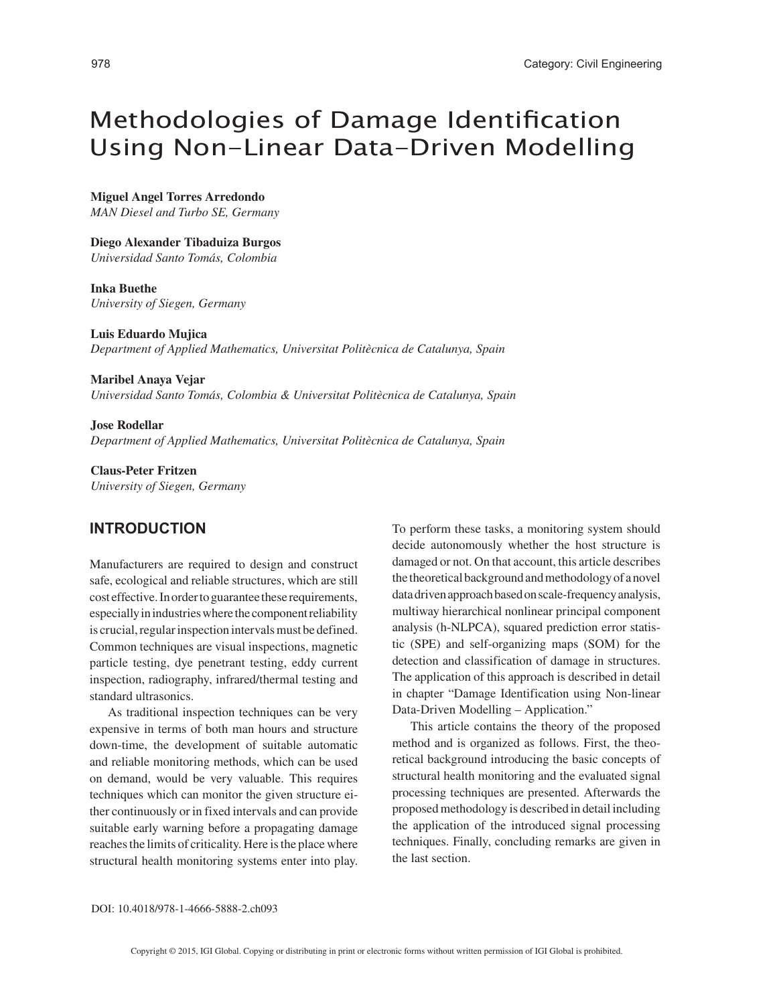# Methodologies of Damage Identification Using Non-Linear Data-Driven Modelling

**Miguel Angel Torres Arredondo**

*MAN Diesel and Turbo SE, Germany*

**Diego Alexander Tibaduiza Burgos**

*Universidad Santo Tomás, Colombia*

**Inka Buethe** *University of Siegen, Germany*

**Luis Eduardo Mujica** *Department of Applied Mathematics, Universitat Politècnica de Catalunya, Spain*

**Maribel Anaya Vejar** *Universidad Santo Tomás, Colombia & Universitat Politècnica de Catalunya, Spain*

**Jose Rodellar** *Department of Applied Mathematics, Universitat Politècnica de Catalunya, Spain*

**Claus-Peter Fritzen** *University of Siegen, Germany*

## **INTRODUCTION**

Manufacturers are required to design and construct safe, ecological and reliable structures, which are still cost effective. In order to guarantee these requirements, especially in industries where the component reliability is crucial, regular inspection intervals must be defined. Common techniques are visual inspections, magnetic particle testing, dye penetrant testing, eddy current inspection, radiography, infrared/thermal testing and standard ultrasonics.

As traditional inspection techniques can be very expensive in terms of both man hours and structure down-time, the development of suitable automatic and reliable monitoring methods, which can be used on demand, would be very valuable. This requires techniques which can monitor the given structure either continuously or in fixed intervals and can provide suitable early warning before a propagating damage reaches the limits of criticality. Here is the place where structural health monitoring systems enter into play. To perform these tasks, a monitoring system should decide autonomously whether the host structure is damaged or not. On that account, this article describes the theoretical background and methodology of a novel data driven approach based on scale-frequency analysis, multiway hierarchical nonlinear principal component analysis (h-NLPCA), squared prediction error statistic (SPE) and self-organizing maps (SOM) for the detection and classification of damage in structures. The application of this approach is described in detail in chapter "Damage Identification using Non-linear Data-Driven Modelling – Application."

This article contains the theory of the proposed method and is organized as follows. First, the theoretical background introducing the basic concepts of structural health monitoring and the evaluated signal processing techniques are presented. Afterwards the proposed methodology is described in detail including the application of the introduced signal processing techniques. Finally, concluding remarks are given in the last section.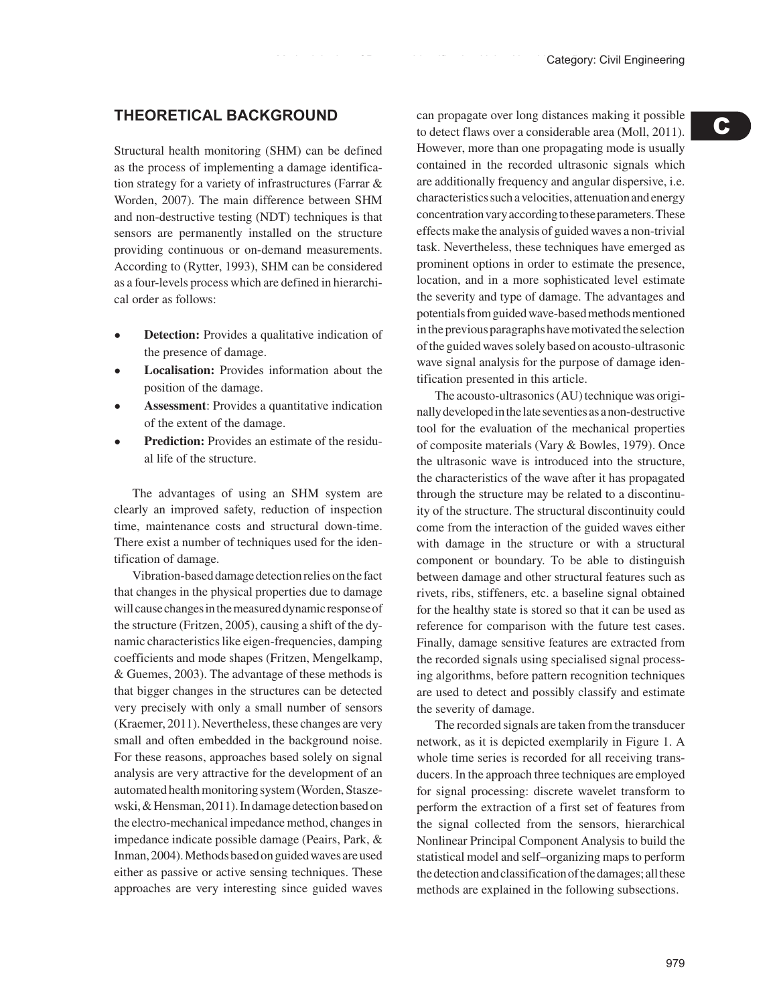# **THEORETICAL BACKGROUND**

Structural health monitoring (SHM) can be defined as the process of implementing a damage identification strategy for a variety of infrastructures (Farrar & Worden, 2007). The main difference between SHM and non-destructive testing (NDT) techniques is that sensors are permanently installed on the structure providing continuous or on-demand measurements. According to (Rytter, 1993), SHM can be considered as a four-levels process which are defined in hierarchical order as follows:

- **Detection:** Provides a qualitative indication of the presence of damage.
- **Localisation:** Provides information about the position of the damage.
- Assessment: Provides a quantitative indication of the extent of the damage.
- **Prediction:** Provides an estimate of the residual life of the structure.

The advantages of using an SHM system are clearly an improved safety, reduction of inspection time, maintenance costs and structural down-time. There exist a number of techniques used for the identification of damage.

Vibration-based damage detection relies on the fact that changes in the physical properties due to damage will cause changes in the measured dynamic response of the structure (Fritzen, 2005), causing a shift of the dynamic characteristics like eigen-frequencies, damping coefficients and mode shapes (Fritzen, Mengelkamp, & Guemes, 2003). The advantage of these methods is that bigger changes in the structures can be detected very precisely with only a small number of sensors (Kraemer, 2011). Nevertheless, these changes are very small and often embedded in the background noise. For these reasons, approaches based solely on signal analysis are very attractive for the development of an automated health monitoring system (Worden, Staszewski, & Hensman, 2011). In damage detection based on the electro-mechanical impedance method, changes in impedance indicate possible damage (Peairs, Park, & Inman, 2004). Methods based on guided waves are used either as passive or active sensing techniques. These approaches are very interesting since guided waves can propagate over long distances making it possible to detect flaws over a considerable area (Moll, 2011). However, more than one propagating mode is usually contained in the recorded ultrasonic signals which are additionally frequency and angular dispersive, i.e. characteristics such a velocities, attenuation and energy concentration vary according to these parameters. These effects make the analysis of guided waves a non-trivial task. Nevertheless, these techniques have emerged as prominent options in order to estimate the presence, location, and in a more sophisticated level estimate the severity and type of damage. The advantages and potentials from guided wave-based methods mentioned in the previous paragraphs have motivated the selection of the guided waves solely based on acousto-ultrasonic wave signal analysis for the purpose of damage identification presented in this article.

The acousto-ultrasonics (AU) technique was originally developed in the late seventies as a non-destructive tool for the evaluation of the mechanical properties of composite materials (Vary & Bowles, 1979). Once the ultrasonic wave is introduced into the structure, the characteristics of the wave after it has propagated through the structure may be related to a discontinuity of the structure. The structural discontinuity could come from the interaction of the guided waves either with damage in the structure or with a structural component or boundary. To be able to distinguish between damage and other structural features such as rivets, ribs, stiffeners, etc. a baseline signal obtained for the healthy state is stored so that it can be used as reference for comparison with the future test cases. Finally, damage sensitive features are extracted from the recorded signals using specialised signal processing algorithms, before pattern recognition techniques are used to detect and possibly classify and estimate the severity of damage.

The recorded signals are taken from the transducer network, as it is depicted exemplarily in Figure 1. A whole time series is recorded for all receiving transducers. In the approach three techniques are employed for signal processing: discrete wavelet transform to perform the extraction of a first set of features from the signal collected from the sensors, hierarchical Nonlinear Principal Component Analysis to build the statistical model and self–organizing maps to perform the detection and classification of the damages; all these methods are explained in the following subsections.